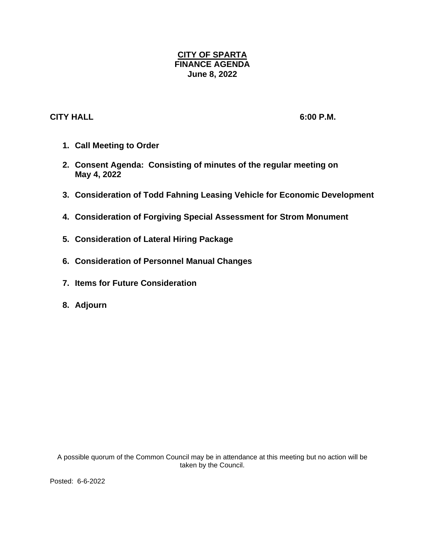## **CITY OF SPARTA FINANCE AGENDA June 8, 2022**

## **CITY HALL 6:00 P.M.**

- **1. Call Meeting to Order**
- **2. Consent Agenda: Consisting of minutes of the regular meeting on May 4, 2022**
- **3. Consideration of Todd Fahning Leasing Vehicle for Economic Development**
- **4. Consideration of Forgiving Special Assessment for Strom Monument**
- **5. Consideration of Lateral Hiring Package**
- **6. Consideration of Personnel Manual Changes**
- **7. Items for Future Consideration**
- **8. Adjourn**

A possible quorum of the Common Council may be in attendance at this meeting but no action will be taken by the Council.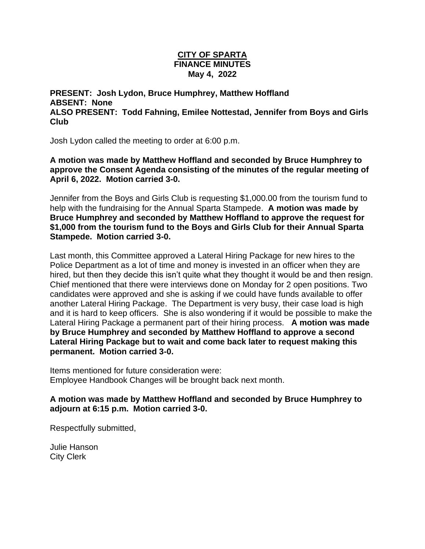## **CITY OF SPARTA FINANCE MINUTES May 4, 2022**

**PRESENT: Josh Lydon, Bruce Humphrey, Matthew Hoffland ABSENT: None ALSO PRESENT: Todd Fahning, Emilee Nottestad, Jennifer from Boys and Girls Club**

Josh Lydon called the meeting to order at 6:00 p.m.

**A motion was made by Matthew Hoffland and seconded by Bruce Humphrey to approve the Consent Agenda consisting of the minutes of the regular meeting of April 6, 2022. Motion carried 3-0.**

Jennifer from the Boys and Girls Club is requesting \$1,000.00 from the tourism fund to help with the fundraising for the Annual Sparta Stampede. **A motion was made by Bruce Humphrey and seconded by Matthew Hoffland to approve the request for \$1,000 from the tourism fund to the Boys and Girls Club for their Annual Sparta Stampede. Motion carried 3-0.**

Last month, this Committee approved a Lateral Hiring Package for new hires to the Police Department as a lot of time and money is invested in an officer when they are hired, but then they decide this isn't quite what they thought it would be and then resign. Chief mentioned that there were interviews done on Monday for 2 open positions. Two candidates were approved and she is asking if we could have funds available to offer another Lateral Hiring Package. The Department is very busy, their case load is high and it is hard to keep officers. She is also wondering if it would be possible to make the Lateral Hiring Package a permanent part of their hiring process. **A motion was made by Bruce Humphrey and seconded by Matthew Hoffland to approve a second Lateral Hiring Package but to wait and come back later to request making this permanent. Motion carried 3-0.** 

Items mentioned for future consideration were: Employee Handbook Changes will be brought back next month.

**A motion was made by Matthew Hoffland and seconded by Bruce Humphrey to adjourn at 6:15 p.m. Motion carried 3-0.**

Respectfully submitted,

Julie Hanson City Clerk